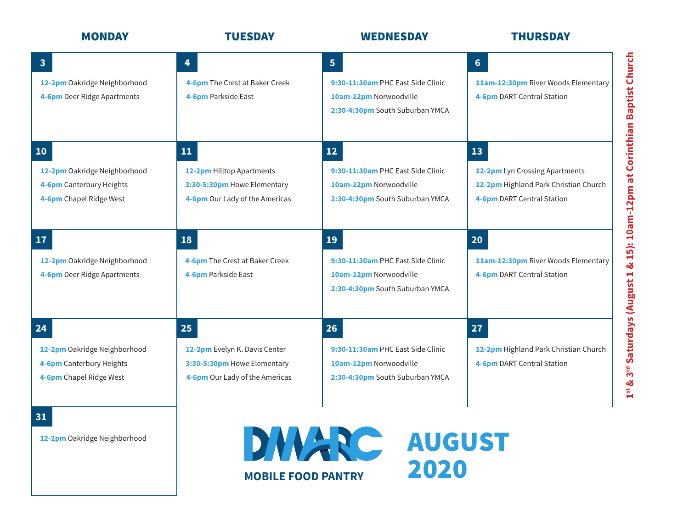| <b>MONDAY</b>                                                                             | <b>TUESDAY</b>                                                                                       | <b>WEDNESDAY</b>                                                                                                 | <b>THURSDAY</b>                                                                                             |
|-------------------------------------------------------------------------------------------|------------------------------------------------------------------------------------------------------|------------------------------------------------------------------------------------------------------------------|-------------------------------------------------------------------------------------------------------------|
| $\overline{\mathbf{3}}$<br>12-2pm Oakridge Neighborhood<br>4-6pm Deer Ridge Apartments    | 4<br>4-6pm The Crest at Baker Creek<br>4-6pm Parkside East                                           | 5 <sup>1</sup><br>9:30-11:30am PHC East Side Clinic<br>10am-12pm Norwoodville<br>2:30-4:30pm South Suburban YMCA | 6 <sup>1</sup><br>11am-12:30pm River Woods Elementary<br>4-6pm DART Central Station                         |
| 10<br>12-2pm Oakridge Neighborhood<br>4-6pm Canterbury Heights<br>4-6pm Chapel Ridge West | 11<br>12-2pm Hilltop Apartments<br>3:30-5:30pm Howe Elementary<br>4-6pm Our Lady of the Americas     | 12<br>9:30-11:30am PHC East Side Clinic<br>10am-12pm Norwoodville<br>2:30-4:30pm South Suburban YMCA             | 13<br>12-2pm Lyn Crossing Apartments<br>12-2pm Highland Park Christian Church<br>4-6pm DART Central Station |
| 17<br>12-2pm Oakridge Neighborhood<br>4-6pm Deer Ridge Apartments                         | 18<br>4-6pm The Crest at Baker Creek<br>4-6pm Parkside East                                          | <b>19</b><br>9:30-11:30am PHC East Side Clinic<br>10am-12pm Norwoodville<br>2:30-4:30pm South Suburban YMCA      | 20<br>11am-12:30pm River Woods Elementary<br>4-6pm DART Central Station                                     |
| 24<br>12-2pm Oakridge Neighborhood<br>4-6pm Canterbury Heights<br>4-6pm Chapel Ridge West | 25<br>12-2pm Evelyn K. Davis Center<br>3:30-5:30pm Howe Elementary<br>4-6pm Our Lady of the Americas | 26<br>9:30-11:30am PHC East Side Clinic<br>10am-12pm Norwoodville<br>2:30-4:30pm South Suburban YMCA             | 27<br>12-2pm Highland Park Christian Church<br>4-6pm DART Central Station                                   |

**12-2pm** Oakridge Neighborhood

**31**